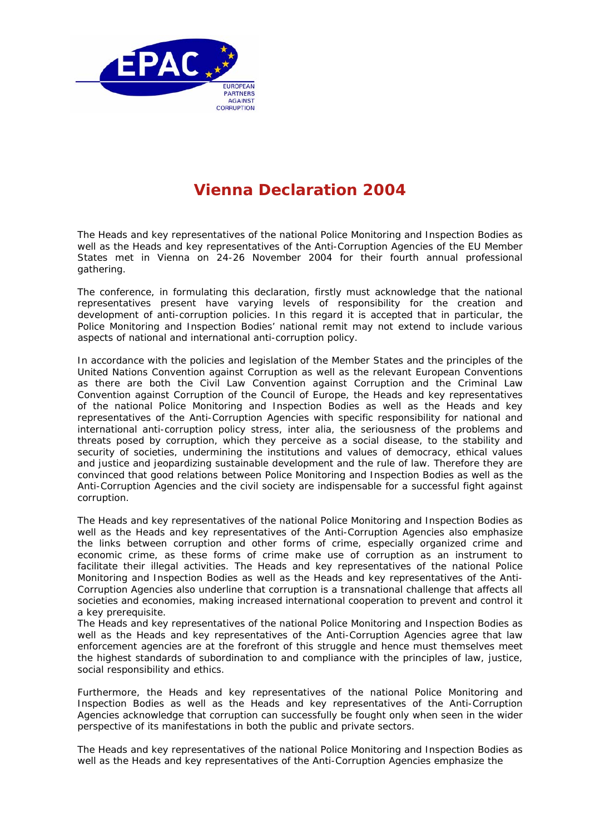

## **Vienna Declaration 2004**

The Heads and key representatives of the national Police Monitoring and Inspection Bodies as well as the Heads and key representatives of the Anti-Corruption Agencies of the EU Member States met in Vienna on 24-26 November 2004 for their fourth annual professional gathering.

The conference, in formulating this declaration, firstly must acknowledge that the national representatives present have varying levels of responsibility for the creation and development of anti-corruption policies. In this regard it is accepted that in particular, the Police Monitoring and Inspection Bodies' national remit may not extend to include various aspects of national and international anti-corruption policy.

In accordance with the policies and legislation of the Member States and the principles of the United Nations Convention against Corruption as well as the relevant European Conventions as there are both the Civil Law Convention against Corruption and the Criminal Law Convention against Corruption of the Council of Europe, the Heads and key representatives of the national Police Monitoring and Inspection Bodies as well as the Heads and key representatives of the Anti-Corruption Agencies with specific responsibility for national and international anti-corruption policy stress, inter alia, the seriousness of the problems and threats posed by corruption, which they perceive as a social disease, to the stability and security of societies, undermining the institutions and values of democracy, ethical values and justice and jeopardizing sustainable development and the rule of law. Therefore they are convinced that good relations between Police Monitoring and Inspection Bodies as well as the Anti-Corruption Agencies and the civil society are indispensable for a successful fight against corruption.

The Heads and key representatives of the national Police Monitoring and Inspection Bodies as well as the Heads and key representatives of the Anti-Corruption Agencies also emphasize the links between corruption and other forms of crime, especially organized crime and economic crime, as these forms of crime make use of corruption as an instrument to facilitate their illegal activities. The Heads and key representatives of the national Police Monitoring and Inspection Bodies as well as the Heads and key representatives of the Anti-Corruption Agencies also underline that corruption is a transnational challenge that affects all societies and economies, making increased international cooperation to prevent and control it a key prerequisite.

The Heads and key representatives of the national Police Monitoring and Inspection Bodies as well as the Heads and key representatives of the Anti-Corruption Agencies agree that law enforcement agencies are at the forefront of this struggle and hence must themselves meet the highest standards of subordination to and compliance with the principles of law, justice, social responsibility and ethics.

Furthermore, the Heads and key representatives of the national Police Monitoring and Inspection Bodies as well as the Heads and key representatives of the Anti-Corruption Agencies acknowledge that corruption can successfully be fought only when seen in the wider perspective of its manifestations in both the public and private sectors.

The Heads and key representatives of the national Police Monitoring and Inspection Bodies as well as the Heads and key representatives of the Anti-Corruption Agencies emphasize the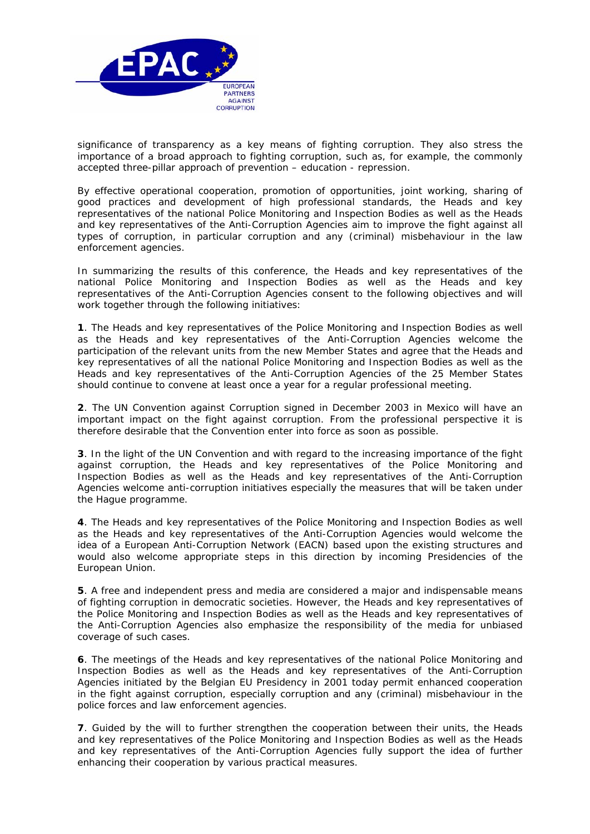

significance of transparency as a key means of fighting corruption. They also stress the importance of a broad approach to fighting corruption, such as, for example, the commonly accepted three-pillar approach of prevention – education - repression.

By effective operational cooperation, promotion of opportunities, joint working, sharing of good practices and development of high professional standards, the Heads and key representatives of the national Police Monitoring and Inspection Bodies as well as the Heads and key representatives of the Anti-Corruption Agencies aim to improve the fight against all types of corruption, in particular corruption and any (criminal) misbehaviour in the law enforcement agencies.

In summarizing the results of this conference, the Heads and key representatives of the national Police Monitoring and Inspection Bodies as well as the Heads and key representatives of the Anti-Corruption Agencies consent to the following objectives and will work together through the following initiatives:

**1**. The Heads and key representatives of the Police Monitoring and Inspection Bodies as well as the Heads and key representatives of the Anti-Corruption Agencies welcome the participation of the relevant units from the new Member States and agree that the Heads and key representatives of all the national Police Monitoring and Inspection Bodies as well as the Heads and key representatives of the Anti-Corruption Agencies of the 25 Member States should continue to convene at least once a year for a regular professional meeting.

**2**. The UN Convention against Corruption signed in December 2003 in Mexico will have an important impact on the fight against corruption. From the professional perspective it is therefore desirable that the Convention enter into force as soon as possible.

**3**. In the light of the UN Convention and with regard to the increasing importance of the fight against corruption, the Heads and key representatives of the Police Monitoring and Inspection Bodies as well as the Heads and key representatives of the Anti-Corruption Agencies welcome anti-corruption initiatives especially the measures that will be taken under the Hague programme.

**4**. The Heads and key representatives of the Police Monitoring and Inspection Bodies as well as the Heads and key representatives of the Anti-Corruption Agencies would welcome the idea of a European Anti-Corruption Network (EACN) based upon the existing structures and would also welcome appropriate steps in this direction by incoming Presidencies of the European Union.

**5**. A free and independent press and media are considered a major and indispensable means of fighting corruption in democratic societies. However, the Heads and key representatives of the Police Monitoring and Inspection Bodies as well as the Heads and key representatives of the Anti-Corruption Agencies also emphasize the responsibility of the media for unbiased coverage of such cases.

**6**. The meetings of the Heads and key representatives of the national Police Monitoring and Inspection Bodies as well as the Heads and key representatives of the Anti-Corruption Agencies initiated by the Belgian EU Presidency in 2001 today permit enhanced cooperation in the fight against corruption, especially corruption and any (criminal) misbehaviour in the police forces and law enforcement agencies.

**7**. Guided by the will to further strengthen the cooperation between their units, the Heads and key representatives of the Police Monitoring and Inspection Bodies as well as the Heads and key representatives of the Anti-Corruption Agencies fully support the idea of further enhancing their cooperation by various practical measures.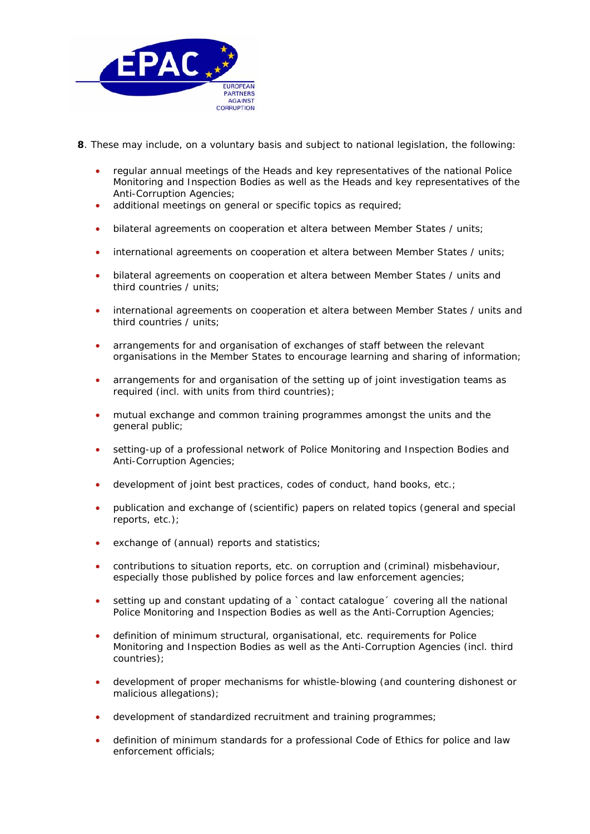

- **8**. These may include, on a voluntary basis and subject to national legislation, the following:
	- regular annual meetings of the Heads and key representatives of the national Police Monitoring and Inspection Bodies as well as the Heads and key representatives of the Anti-Corruption Agencies;
	- additional meetings on general or specific topics as required;
	- bilateral agreements on cooperation et altera between Member States / units;
	- international agreements on cooperation et altera between Member States / units;
	- bilateral agreements on cooperation et altera between Member States / units and third countries / units;
	- international agreements on cooperation et altera between Member States / units and third countries / units;
	- arrangements for and organisation of exchanges of staff between the relevant organisations in the Member States to encourage learning and sharing of information;
	- arrangements for and organisation of the setting up of joint investigation teams as required (incl. with units from third countries);
	- mutual exchange and common training programmes amongst the units and the general public;
	- setting-up of a professional network of Police Monitoring and Inspection Bodies and Anti-Corruption Agencies;
	- development of joint best practices, codes of conduct, hand books, etc.;
	- publication and exchange of (scientific) papers on related topics (general and special reports, etc.);
	- exchange of (annual) reports and statistics;
	- contributions to situation reports, etc. on corruption and (criminal) misbehaviour, especially those published by police forces and law enforcement agencies;
	- setting up and constant updating of a `contact catalogue´ covering all the national Police Monitoring and Inspection Bodies as well as the Anti-Corruption Agencies;
	- definition of minimum structural, organisational, etc. requirements for Police Monitoring and Inspection Bodies as well as the Anti-Corruption Agencies (incl. third countries);
	- development of proper mechanisms for whistle-blowing (and countering dishonest or malicious allegations);
	- development of standardized recruitment and training programmes;
	- definition of minimum standards for a professional Code of Ethics for police and law enforcement officials;